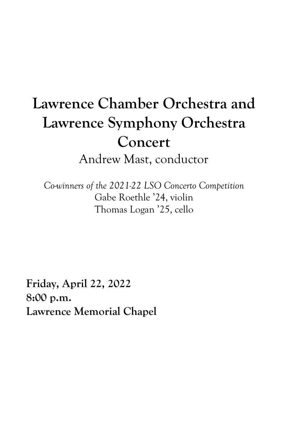# **Lawrence Chamber Orchestra and Lawrence Symphony Orchestra Concert** Andrew Mast, conductor

*Co-winners of the 2021-22 LSO Concerto Competition* Gabe Roethle '24, violin Thomas Logan '25, cello

**Friday, April 22, 2022 8:00 p.m. Lawrence Memorial Chapel**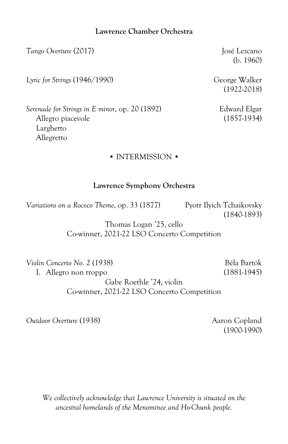# **Lawrence Chamber Orchestra**

*Tango Overture* (2017) José Lezcano

*Lyric for Strings* (1946/1990) George Walker

(b. 1960)

(1922-2018)

*Serenade for Strings in E minor*, op. 20 (1892) Edward Elgar Larghetto Allegretto

# • INTERMISSION •

# **Lawrence Symphony Orchestra**

*Variations on a Rococo Theme, op.* 33 (1877) Pyotr Ilyich Tchaikovsky

(1840-1893)

Thomas Logan '25, cello Co-winner, 2021-22 LSO Concerto Competition

*Violin Concerto No. 2* (1938) Béla Bartók I. Allegro non troppo (1881-1945)

Gabe Roethle '24, violin Co-winner, 2021-22 LSO Concerto Competition

**Outdoor Overture** (1938) Aaron Copland

(1900-1990)

*We collectively acknowledge that Lawrence University is situated on the ancestral homelands of the Menominee and Ho-Chunk people.*

Allegro piacevole (1857-1934)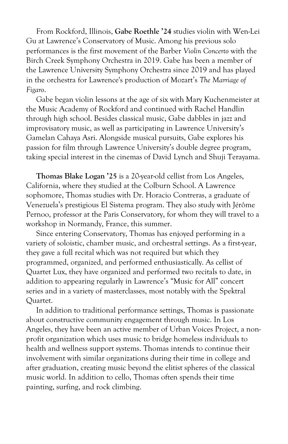From Rockford, Illinois, **Gabe Roethle '24** studies violin with Wen-Lei Gu at Lawrence's Conservatory of Music. Among his previous solo performances is the first movement of the Barber *Violin Concerto* with the Birch Creek Symphony Orchestra in 2019. Gabe has been a member of the Lawrence University Symphony Orchestra since 2019 and has played in the orchestra for Lawrence's production of Mozart's *The Marriage of Figaro*.

Gabe began violin lessons at the age of six with Mary Kuchenmeister at the Music Academy of Rockford and continued with Rachel Handlin through high school. Besides classical music, Gabe dabbles in jazz and improvisatory music, as well as participating in Lawrence University's Gamelan Cahaya Asri. Alongside musical pursuits, Gabe explores his passion for film through Lawrence University's double degree program, taking special interest in the cinemas of David Lynch and Shuji Terayama.

**Thomas Blake Logan '25** is a 20-year-old cellist from Los Angeles, California, where they studied at the Colburn School. A Lawrence sophomore, Thomas studies with Dr. Horacio Contreras, a graduate of Venezuela's prestigious El Sistema program. They also study with Jérôme Pernoo, professor at the Paris Conservatory, for whom they will travel to a workshop in Normandy, France, this summer.

Since entering Conservatory, Thomas has enjoyed performing in a variety of soloistic, chamber music, and orchestral settings. As a first-year, they gave a full recital which was not required but which they programmed, organized, and performed enthusiastically. As cellist of Quartet Lux, they have organized and performed two recitals to date, in addition to appearing regularly in Lawrence's "Music for All" concert series and in a variety of masterclasses, most notably with the Spektral Quartet.

In addition to traditional performance settings, Thomas is passionate about constructive community engagement through music. In Los Angeles, they have been an active member of Urban Voices Project, a nonprofit organization which uses music to bridge homeless individuals to health and wellness support systems. Thomas intends to continue their involvement with similar organizations during their time in college and after graduation, creating music beyond the elitist spheres of the classical music world. In addition to cello, Thomas often spends their time painting, surfing, and rock climbing.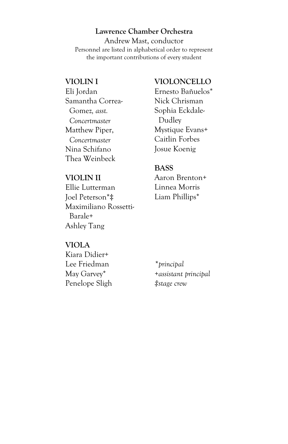# **Lawrence Chamber Orchestra**

Andrew Mast, conductor Personnel are listed in alphabetical order to represent the important contributions of every student

## **VIOLIN I**

Eli Jordan Samantha Correa- Gomez*, asst. Concertmaster* Matthew Piper, *Concertmaster* Nina Schifano Thea Weinbeck

# **VIOLIN II**

Ellie Lutterman Joel Peterson\*‡ Maximiliano Rossetti- Barale+ Ashley Tang

# **VIOLONCELLO**

Ernesto Bañuelos\* Nick Chrisman Sophia Eckdale- Dudley Mystique Evans+ Caitlin Forbes Josue Koenig

# **BASS**

Aaron Brenton+ Linnea Morris Liam Phillips\*

#### **VIOLA**  $K_i = D_i + 1$

| Kiara Didier+  |                       |
|----------------|-----------------------|
| Lee Friedman   | *principal            |
| May Garvey*    | +assistant principal  |
| Penelope Sligh | $\ddagger$ stage crew |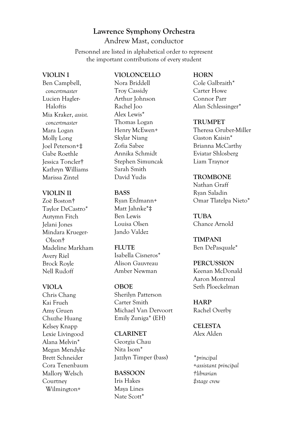# **Lawrence Symphony Orchestra** Andrew Mast, conductor

Personnel are listed in alphabetical order to represent the important contributions of every student

#### **VIOLIN I**

Ben Campbell,  *concertmaster* Lucien Hagler- Haloftis Mia Kraker, *assist. concertmaster* Mara Logan Molly Long Joel Peterson+‡ Gabe Roethle Jessica Toncler† Kathryn Williams Marissa Zintel

## **VIOLIN II**

Zoë Boston† Taylor DeCastro\* Autymn Fitch Jelani Jones Mindara Krueger- Olson† Madeline Markham Avery Riel Brock Royle Nell Rudoff

## **VIOLA**

Chris Chang Kai Frueh Amy Gruen Chuzhe Huang Kelsey Knapp Lexie Livingood Alana Melvin\* Megan Mendyke Brett Schneider Cora Tenenbaum Mallory Welsch Courtney Wilmington+

## **VIOLONCELLO**

Nora Briddell Troy Cassidy Arthur Johnson Rachel Joo Alex Lewis\* Thomas Logan Henry McEwen+ Skylar Niang Zofia Sabee Annika Schmidt Stephen Simuncak Sarah Smith David Yudis

## **BASS**

Ryan Erdmann+ Matt Jahnke\*‡ Ben Lewis Louisa Olsen Jando Valdez

## **FLUTE**

Isabella Cisneros\* Alison Gauvreau Amber Newman

## **OBOE**

Sherilyn Patterson Carter Smith Michael Van Dervoort Emily Zuniga\* (EH)

## **CLARINET**

Georgia Chau Nita Isom\* Jazzlyn Timper (bass)

#### **BASSOON**

Iris Hakes Maya Lines Nate Scott\*

## **HORN**

Cole Galbraith\* Carter Howe Connor Parr Alan Schlessinger\*

#### **TRUMPET**

Theresa Gruber-Miller Gaston Kaisin\* Brianna McCarthy Eviatar Shlosberg Liam Traynor

# **TROMBONE**

Nathan Graff Ryan Saladin Omar Tlatelpa Nieto\*

**TUBA** Chance Arnold

**TIMPANI** Ben DePasquale\*

## **PERCUSSION** Keenan McDonald Aaron Montreal Seth Ploeckelman

**HARP** Rachel Overby

**CELESTA** Alex Alden

*\*principal +assistant principal †librarian ‡stage crew*